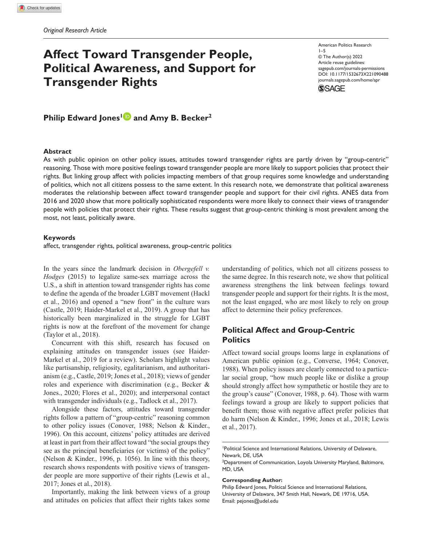# **Affect Toward Transgender People, Political Awareness, and Support for Transgender Rights**

American Politics Research 1–5 © The Author(s) 2022 Article reuse guidelines: [sagepub.com/journals-permissions](https://us.sagepub.com/en-us/journals-permissions)  DOI: 10.1177/1532673X221090488 [journals.sagepub.com/home/apr](https://journals.sagepub.com/home/apr) **SSAGE** 

**Philip Edward Jones<sup>1</sup> and Amy B. Becker<sup>2</sup>** 

#### **Abstract**

As with public opinion on other policy issues, attitudes toward transgender rights are partly driven by "group-centric" reasoning. Those with more positive feelings toward transgender people are more likely to support policies that protect their rights. But linking group affect with policies impacting members of that group requires some knowledge and understanding of politics, which not all citizens possess to the same extent. In this research note, we demonstrate that political awareness moderates the relationship between affect toward transgender people and support for their civil rights. ANES data from 2016 and 2020 show that more politically sophisticated respondents were more likely to connect their views of transgender people with policies that protect their rights. These results suggest that group-centric thinking is most prevalent among the most, not least, politically aware.

#### **Keywords**

affect, transgender rights, political awareness, group-centric politics

In the years since the landmark decision in *Obergefell v. Hodges* (2015) to legalize same-sex marriage across the U.S., a shift in attention toward transgender rights has come to define the agenda of the broader LGBT movement (Hackl et al., 2016) and opened a "new front" in the culture wars (Castle, 2019; Haider-Markel et al., 2019). A group that has historically been marginalized in the struggle for LGBT rights is now at the forefront of the movement for change (Taylor et al., 2018).

Concurrent with this shift, research has focused on explaining attitudes on transgender issues (see Haider-Markel et al., 2019 for a review). Scholars highlight values like partisanship, religiosity, egalitarianism, and authoritarianism (e.g., Castle, 2019; Jones et al., 2018); views of gender roles and experience with discrimination (e.g., Becker & Jones., 2020; Flores et al., 2020); and interpersonal contact with transgender individuals (e.g., Tadlock et al., 2017).

Alongside these factors, attitudes toward transgender rights follow a pattern of "group-centric" reasoning common to other policy issues (Conover, 1988; Nelson & Kinder., 1996). On this account, citizens' policy attitudes are derived at least in part from their affect toward "the social groups they see as the principal beneficiaries (or victims) of the policy" (Nelson & Kinder., 1996, p. 1056). In line with this theory, research shows respondents with positive views of transgender people are more supportive of their rights (Lewis et al., 2017; Jones et al., 2018).

Importantly, making the link between views of a group and attitudes on policies that affect their rights takes some understanding of politics, which not all citizens possess to the same degree. In this research note, we show that political awareness strengthens the link between feelings toward transgender people and support for their rights. It is the most, not the least engaged, who are most likely to rely on group affect to determine their policy preferences.

# **Political Affect and Group-Centric Politics**

Affect toward social groups looms large in explanations of American public opinion (e.g., Converse, 1964; Conover, 1988). When policy issues are clearly connected to a particular social group, "how much people like or dislike a group should strongly affect how sympathetic or hostile they are to the group's cause" (Conover, 1988, p. 64). Those with warm feelings toward a group are likely to support policies that benefit them; those with negative affect prefer policies that do harm (Nelson & Kinder., 1996; Jones et al., 2018; Lewis et al., 2017).

1 Political Science and International Relations, University of Delaware, Newark, DE, USA

#### **Corresponding Author:**

Philip Edward Jones, Political Science and International Relations, University of Delaware, 347 Smith Hall, Newark, DE 19716, USA. Email: [pejones@udel.edu](mailto:pejones@udel.edu)

<sup>&</sup>lt;sup>2</sup>Department of Communication, Loyola University Maryland, Baltimore, MD, USA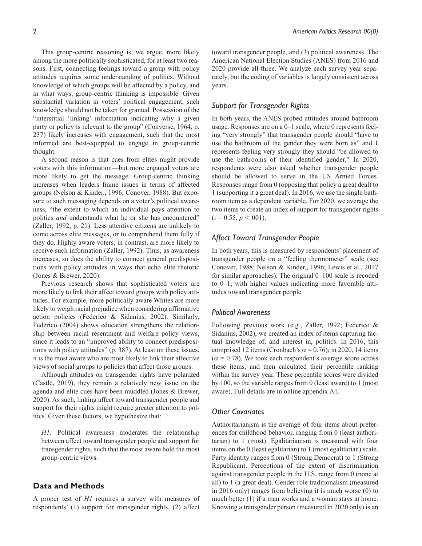This group-centric reasoning is, we argue, more likely among the more politically sophisticated, for at least two reasons. First, connecting feelings toward a group with policy attitudes requires some understanding of politics. Without knowledge of which groups will be affected by a policy, and in what ways, group-centric thinking is impossible. Given substantial variation in voters' political engagement, such knowledge should not be taken for granted. Possession of the "interstitial 'linking' information indicating why a given party or policy is relevant to the group" (Converse, 1964, p. 237) likely increases with engagement, such that the most informed are best-equipped to engage in group-centric thought.

A second reason is that cues from elites might provide voters with this information—but more engaged voters are more likely to get the message. Group-centric thinking increases when leaders frame issues in terms of affected groups (Nelson & Kinder., 1996; Conover, 1988). But exposure to such messaging depends on a voter's political awareness, "the extent to which an individual pays attention to politics *and* understands what he or she has encountered" (Zaller, 1992, p. 21). Less attentive citizens are unlikely to come across elite messages, or to comprehend them fully if they do. Highly aware voters, in contrast, are more likely to receive such information (Zaller, 1992). Thus, as awareness increases, so does the ability to connect general predispositions with policy attitudes in ways that echo elite rhetoric (Jones & Brewer, 2020).

Previous research shows that sophisticated voters are more likely to link their affect toward groups with policy attitudes. For example, more politically aware Whites are more likely to weigh racial prejudice when considering affirmative action policies (Federico & Sidanius, 2002). Similarly, Federico (2004) shows education strengthens the relationship between racial resentment and welfare policy views, since it leads to an "improved ability to connect predispositions with policy attitudes" (p. 387). At least on these issues, it is the most aware who are most likely to link their affective views of social groups to policies that affect those groups.

Although attitudes on transgender rights have polarized (Castle, 2019), they remain a relatively new issue on the agenda and elite cues have been muddled (Jones & Brewer, 2020). As such, linking affect toward transgender people and support for their rights might require greater attention to politics. Given these factors, we hypothesize that:

*H1:* Political awareness moderates the relationship between affect toward transgender people and support for transgender rights, such that the most aware hold the most group-centric views.

# **Data and Methods**

A proper test of *H1* requires a survey with measures of respondents' (1) support for transgender rights, (2) affect

toward transgender people, and (3) political awareness. The American National Election Studies (ANES) from 2016 and 2020 provide all three. We analyze each survey year separately, but the coding of variables is largely consistent across years.

# *Support for Transgender Rights*

In both years, the ANES probed attitudes around bathroom usage. Responses are on a 0–1 scale, where 0 represents feeling "very strongly" that transgender people should "have to use the bathroom of the gender they were born as" and 1 represents feeling very strongly they should "be allowed to use the bathrooms of their identified gender." In 2020, respondents were also asked whether transgender people should be allowed to serve in the US Armed Forces. Responses range from 0 (opposing that policy a great deal) to 1 (supporting it a great deal). In 2016, we use the single bathroom item as a dependent variable. For 2020, we average the two items to create an index of support for transgender rights  $(r = 0.55, p \le 0.001)$ .

## *Affect Toward Transgender People*

In both years, this is measured by respondents' placement of transgender people on a "feeling thermometer" scale (see Conover, 1988; Nelson & Kinder., 1996; Lewis et al., 2017 for similar approaches). The original 0–100 scale is recoded to 0–1, with higher values indicating more favorable attitudes toward transgender people.

## *Political Awareness*

Following previous work (e.g., Zaller, 1992; Federico & Sidanius, 2002), we created an index of items capturing factual knowledge of, and interest in, politics. In 2016, this comprised 12 items (Cronbach's  $\alpha$  = 0.76); in 2020, 14 items  $(\alpha = 0.78)$ . We took each respondent's average score across these items, and then calculated their percentile ranking within the survey year. These percentile scores were divided by 100, so the variable ranges from 0 (least aware) to 1 (most aware). Full details are in online appendix A1.

## *Other Covariates*

Authoritarianism is the average of four items about preferences for childhood behavior, ranging from 0 (least authoritarian) to 1 (most). Egalitarianism is measured with four items on the 0 (least egalitarian) to 1 (most egalitarian) scale. Party identity ranges from 0 (Strong Democrat) to 1 (Strong Republican). Perceptions of the extent of discrimination against transgender people in the U.S. range from 0 (none at all) to 1 (a great deal). Gender role traditionalism (measured in 2016 only) ranges from believing it is much worse (0) to much better (1) if a man works and a woman stays at home. Knowing a transgender person (measured in 2020 only) is an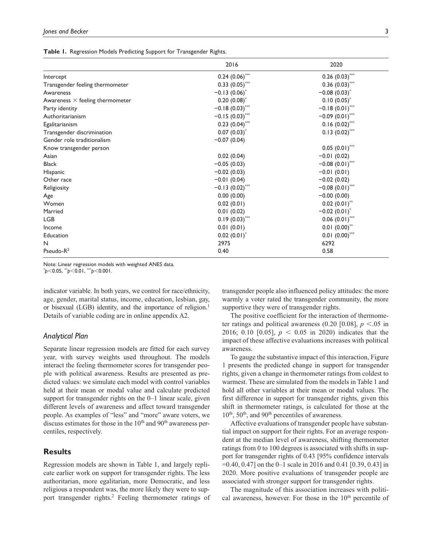|  | Table 1. Regression Models Predicting Support for Transgender Rights. |  |  |  |  |
|--|-----------------------------------------------------------------------|--|--|--|--|
|--|-----------------------------------------------------------------------|--|--|--|--|

|                                        | 2016                | 2020                       |  |
|----------------------------------------|---------------------|----------------------------|--|
| Intercept                              | $0.24$ $(0.06)$ *** | $0.26(0.03)$ ***           |  |
| Transgender feeling thermometer        | $0.33(0.05)$ ***    | $0.36(0.03)$ ***           |  |
| Awareness                              | $-0.13(0.06)^*$     | $-0.08(0.03)^*$            |  |
| Awareness $\times$ feeling thermometer | $0.20(0.08)^*$      | $0.10(0.05)^*$             |  |
| Party identity                         | $-0.18(0.03)$ ***   | $-0.18(0.01)$ ***          |  |
| Authoritarianism                       | $-0.15(0.03)$ ***   | $-0.09(0.01)$ ***          |  |
| Egalitarianism                         | $0.23(0.04)$ ***    | $0.16(0.02)$ ***           |  |
| Transgender discrimination             | $0.07(0.03)^*$      | $0.13(0.02)$ ***           |  |
| Gender role traditionalism             | $-0.07(0.04)$       |                            |  |
| Know transgender person                |                     | $0.05(0.01)$ ***           |  |
| Asian                                  | 0.02(0.04)          | $-0.01(0.02)$              |  |
| <b>Black</b>                           | $-0.05(0.03)$       | $-0.08(0.01)$ ***          |  |
| Hispanic                               | $-0.02(0.03)$       | $-0.01(0.01)$              |  |
| Other race                             | $-0.01(0.04)$       | $-0.02(0.02)$              |  |
| Religiosity                            | $-0.13(0.02)$ ***   | $-0.08(0.01)$ ***          |  |
| Age                                    | 0.00(0.00)          | $-0.00(0.00)$              |  |
| Women                                  | 0.02(0.01)          | $0.02(0.01)$ **            |  |
| Married                                | 0.01(0.02)          | $-0.02(0.01)^*$            |  |
| <b>LGB</b>                             | $0.19(0.03)$ ***    | $0.06(0.01)$ ***           |  |
| Income                                 | 0.01(0.01)          | $0.01(0.00)$ <sup>**</sup> |  |
| Education                              | $0.02(0.01)^*$      | $0.01(0.00)$ ***           |  |
| N                                      | 2975                | 6292                       |  |
| Pseudo-R <sup>2</sup>                  | 0.40                | 0.58                       |  |

Note: Linear regression models with weighted ANES data.

\* *p*<0.05, \*\**p*<0.01, \*\*\**p*<0.001.

indicator variable. In both years, we control for race/ethnicity, age, gender, marital status, income, education, lesbian, gay, or bisexual (LGB) identity, and the importance of religion.<sup>1</sup> Details of variable coding are in online appendix A2.

## *Analytical Plan*

Separate linear regression models are fitted for each survey year, with survey weights used throughout. The models interact the feeling thermometer scores for transgender people with political awareness. Results are presented as predicted values: we simulate each model with control variables held at their mean or modal value and calculate predicted support for transgender rights on the 0–1 linear scale, given different levels of awareness and affect toward transgender people. As examples of "less" and "more" aware voters, we discuss estimates for those in the 10<sup>th</sup> and 90<sup>th</sup> awareness percentiles, respectively.

# **Results**

Regression models are shown in Table 1, and largely replicate earlier work on support for transgender rights. The less authoritarian, more egalitarian, more Democratic, and less religious a respondent was, the more likely they were to support transgender rights.<sup>2</sup> Feeling thermometer ratings of transgender people also influenced policy attitudes: the more warmly a voter rated the transgender community, the more supportive they were of transgender rights.

The positive coefficient for the interaction of thermometer ratings and political awareness  $(0.20 \, [0.08], p \le 0.05 \, \text{in}$ 2016; 0.10 [0.05], *p* < 0.05 in 2020) indicates that the impact of these affective evaluations increases with political awareness.

To gauge the substantive impact of this interaction, Figure 1 presents the predicted change in support for transgender rights, given a change in thermometer ratings from coldest to warmest. These are simulated from the models in Table 1 and hold all other variables at their mean or modal values. The first difference in support for transgender rights, given this shift in thermometer ratings, is calculated for those at the 10<sup>th</sup>, 50<sup>th</sup>, and 90<sup>th</sup> percentiles of awareness.

Affective evaluations of transgender people have substantial impact on support for their rights. For an average respondent at the median level of awareness, shifting thermometer ratings from 0 to 100 degrees is associated with shifts in support for transgender rights of 0.43 [95% confidence intervals =0.40, 0.47] on the 0–1 scale in 2016 and 0.41 [0.39, 0.43] in 2020. More positive evaluations of transgender people are associated with stronger support for transgender rights.

The magnitude of this association increases with political awareness, however. For those in the  $10<sup>th</sup>$  percentile of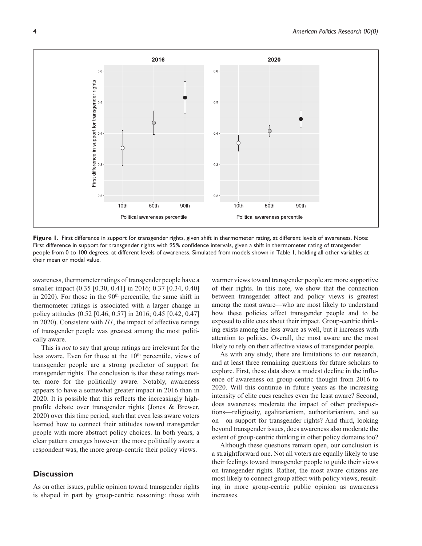

**Figure 1.** First difference in support for transgender rights, given shift in thermometer rating, at different levels of awareness. Note: First difference in support for transgender rights with 95% confidence intervals, given a shift in thermometer rating of transgender people from 0 to 100 degrees, at different levels of awareness. Simulated from models shown in Table 1, holding all other variables at their mean or modal value.

awareness, thermometer ratings of transgender people have a smaller impact (0.35 [0.30, 0.41] in 2016; 0.37 [0.34, 0.40] in 2020). For those in the  $90<sup>th</sup>$  percentile, the same shift in thermometer ratings is associated with a larger change in policy attitudes (0.52 [0.46, 0.57] in 2016; 0.45 [0.42, 0.47] in 2020). Consistent with *H1*, the impact of affective ratings of transgender people was greatest among the most politically aware.

This is *not* to say that group ratings are irrelevant for the less aware. Even for those at the  $10<sup>th</sup>$  percentile, views of transgender people are a strong predictor of support for transgender rights. The conclusion is that these ratings matter more for the politically aware. Notably, awareness appears to have a somewhat greater impact in 2016 than in 2020. It is possible that this reflects the increasingly highprofile debate over transgender rights (Jones & Brewer, 2020) over this time period, such that even less aware voters learned how to connect their attitudes toward transgender people with more abstract policy choices. In both years, a clear pattern emerges however: the more politically aware a respondent was, the more group-centric their policy views.

# **Discussion**

As on other issues, public opinion toward transgender rights is shaped in part by group-centric reasoning: those with warmer views toward transgender people are more supportive of their rights. In this note, we show that the connection between transgender affect and policy views is greatest among the most aware—who are most likely to understand how these policies affect transgender people and to be exposed to elite cues about their impact. Group-centric thinking exists among the less aware as well, but it increases with attention to politics. Overall, the most aware are the most likely to rely on their affective views of transgender people.

As with any study, there are limitations to our research, and at least three remaining questions for future scholars to explore. First, these data show a modest decline in the influence of awareness on group-centric thought from 2016 to 2020. Will this continue in future years as the increasing intensity of elite cues reaches even the least aware? Second, does awareness moderate the impact of other predispositions—religiosity, egalitarianism, authoritarianism, and so on—on support for transgender rights? And third, looking beyond transgender issues, does awareness also moderate the extent of group-centric thinking in other policy domains too?

Although these questions remain open, our conclusion is a straightforward one. Not all voters are equally likely to use their feelings toward transgender people to guide their views on transgender rights. Rather, the most aware citizens are most likely to connect group affect with policy views, resulting in more group-centric public opinion as awareness increases.